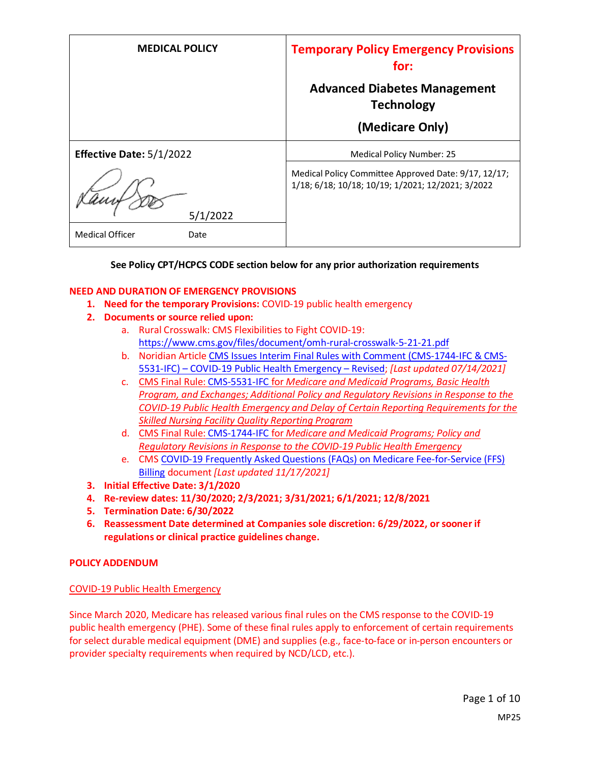| <b>MEDICAL POLICY</b>          | <b>Temporary Policy Emergency Provisions</b><br>for:                                                      |
|--------------------------------|-----------------------------------------------------------------------------------------------------------|
|                                | <b>Advanced Diabetes Management</b><br><b>Technology</b>                                                  |
|                                | (Medicare Only)                                                                                           |
| Effective Date: 5/1/2022       | Medical Policy Number: 25                                                                                 |
| 5/1/2022                       | Medical Policy Committee Approved Date: 9/17, 12/17;<br>1/18; 6/18; 10/18; 10/19; 1/2021; 12/2021; 3/2022 |
| <b>Medical Officer</b><br>Date |                                                                                                           |

#### **See Policy CPT/HCPCS CODE section below for any prior authorization requirements**

#### **NEED AND DURATION OF EMERGENCY PROVISIONS**

- **1. Need for the temporary Provisions:** COVID-19 public health emergency
- **2. Documents or source relied upon:** 
	- a. Rural Crosswalk: CMS Flexibilities to Fight COVID-19: <https://www.cms.gov/files/document/omh-rural-crosswalk-5-21-21.pdf>
	- b. Noridian Article [CMS Issues Interim Final Rules with Comment \(CMS-1744-IFC & CMS-](https://med.noridianmedicare.com/web/jadme/policies/dmd-articles/2020/cms-issues-interim-final-rules-with-comment-cms-1744-ifc-cms-5531-ifc-covid-19-public-health-emergency-revised3)5531-IFC) – [COVID-19 Public Health Emergency](https://med.noridianmedicare.com/web/jadme/policies/dmd-articles/2020/cms-issues-interim-final-rules-with-comment-cms-1744-ifc-cms-5531-ifc-covid-19-public-health-emergency-revised3) – Revised; *[Last updated 07/14/2021]*
	- c. [CMS Final Rule: CMS-5531-IFC](https://www.cms.gov/files/document/covid-medicare-and-medicaid-ifc2.pdf) for *Medicare and Medicaid Programs, Basic Health Program, and Exchanges; Additional Policy and Regulatory Revisions in Response to the COVID-19 Public Health Emergency and Delay of Certain Reporting Requirements for the Skilled Nursing Facility Quality Reporting Program*
	- d. CMS Final Rule: [CMS-1744-IFC](https://www.cms.gov/files/document/covid-final-ifc.pdf) for *Medicare and Medicaid Programs; Policy and Regulatory Revisions in Response to the COVID-19 Public Health Emergency*
	- e. CMS [COVID-19 Frequently Asked Questions \(FAQs\) on Medicare Fee-for-Service \(FFS\)](https://www.cms.gov/files/document/03092020-covid-19-faqs-508.pdf)  [Billing](https://www.cms.gov/files/document/03092020-covid-19-faqs-508.pdf) document *[Last updated 11/17/2021]*
- **3. Initial Effective Date: 3/1/2020**
- **4. Re-review dates: 11/30/2020; 2/3/2021; 3/31/2021; 6/1/2021; 12/8/2021**
- **5. Termination Date: 6/30/2022**
- **6. Reassessment Date determined at Companies sole discretion: 6/29/2022, or sooner if regulations or clinical practice guidelines change.**

#### **POLICY ADDENDUM**

#### COVID-19 Public Health Emergency

Since March 2020, Medicare has released various final rules on the CMS response to the COVID-19 public health emergency (PHE). Some of these final rules apply to enforcement of certain requirements for select durable medical equipment (DME) and supplies (e.g., face-to-face or in-person encounters or provider specialty requirements when required by NCD/LCD, etc.).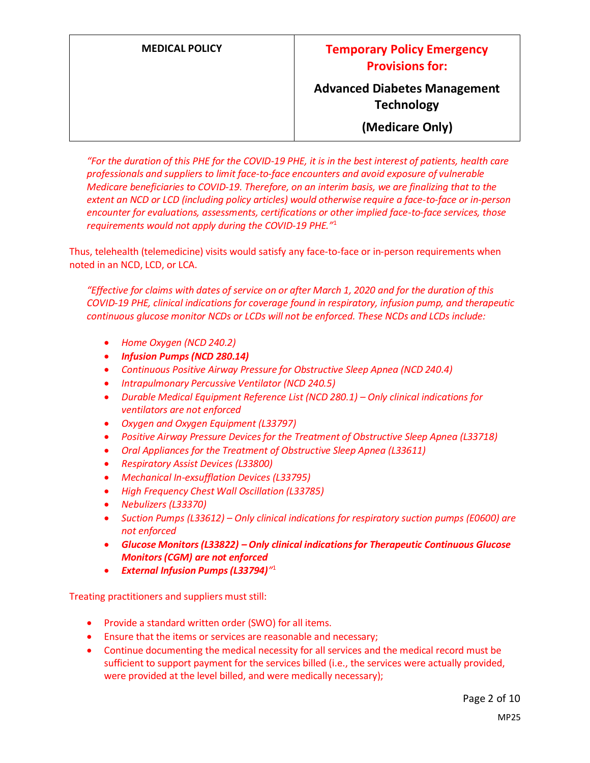**(Medicare Only)**

*"For the duration of this PHE for the COVID-19 PHE, it is in the best interest of patients, health care professionals and suppliers to limit face-to-face encounters and avoid exposure of vulnerable Medicare beneficiaries to COVID-19. Therefore, on an interim basis, we are finalizing that to the extent an NCD or LCD (including policy articles) would otherwise require a face-to-face or in-person encounter for evaluations, assessments, certifications or other implied face-to-face services, those requirements would not apply during the COVID-19 PHE."*<sup>1</sup>

Thus, telehealth (telemedicine) visits would satisfy any face-to-face or in-person requirements when noted in an NCD, LCD, or LCA.

*"Effective for claims with dates of service on or after March 1, 2020 and for the duration of this COVID-19 PHE, clinical indications for coverage found in respiratory, infusion pump, and therapeutic continuous glucose monitor NCDs or LCDs will not be enforced. These NCDs and LCDs include:*

- *Home Oxygen (NCD 240.2)*
- *Infusion Pumps (NCD 280.14)*
- *Continuous Positive Airway Pressure for Obstructive Sleep Apnea (NCD 240.4)*
- *Intrapulmonary Percussive Ventilator (NCD 240.5)*
- *Durable Medical Equipment Reference List (NCD 280.1) Only clinical indications for ventilators are not enforced*
- *Oxygen and Oxygen Equipment (L33797)*
- *Positive Airway Pressure Devices for the Treatment of Obstructive Sleep Apnea (L33718)*
- *Oral Appliances for the Treatment of Obstructive Sleep Apnea (L33611)*
- *Respiratory Assist Devices (L33800)*
- *Mechanical In-exsufflation Devices (L33795)*
- *High Frequency Chest Wall Oscillation (L33785)*
- *Nebulizers (L33370)*
- *Suction Pumps (L33612) – Only clinical indications for respiratory suction pumps (E0600) are not enforced*
- *Glucose Monitors (L33822) – Only clinical indications for Therapeutic Continuous Glucose Monitors (CGM) are not enforced*
- *External Infusion Pumps (L33794)"* 1

Treating practitioners and suppliers must still:

- Provide a standard written order (SWO) for all items.
- Ensure that the items or services are reasonable and necessary;
- Continue documenting the medical necessity for all services and the medical record must be sufficient to support payment for the services billed (i.e., the services were actually provided, were provided at the level billed, and were medically necessary);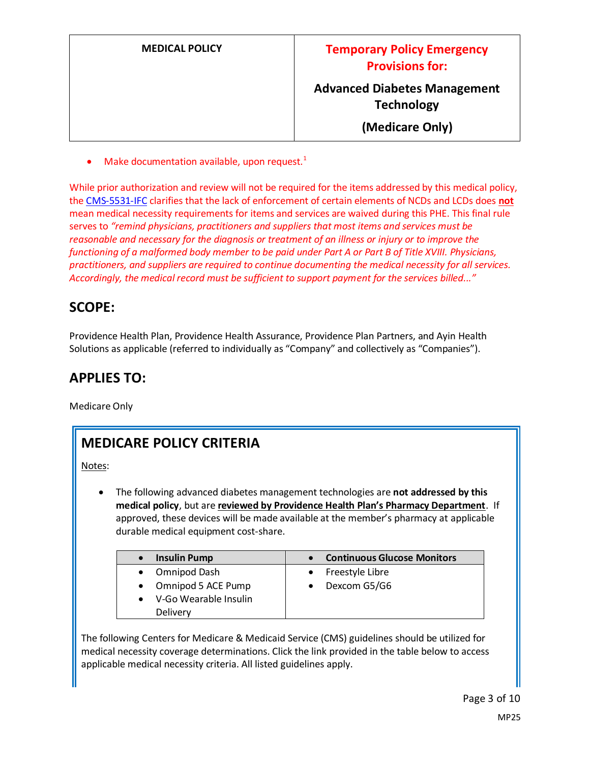| <b>MEDICAL POLICY</b> | <b>Temporary Policy Emergency</b><br><b>Provisions for:</b> |
|-----------------------|-------------------------------------------------------------|
|                       | <b>Advanced Diabetes Management</b><br><b>Technology</b>    |
|                       | (Medicare Only)                                             |

Make documentation available, upon request.<sup>1</sup>

While prior authorization and review will not be required for the items addressed by this medical policy, the [CMS-5531-IFC](https://www.cms.gov/files/document/covid-medicare-and-medicaid-ifc2.pdf) clarifies that the lack of enforcement of certain elements of NCDs and LCDs does **not** mean medical necessity requirements for items and services are waived during this PHE. This final rule serves to *"remind physicians, practitioners and suppliers that most items and services must be reasonable and necessary for the diagnosis or treatment of an illness or injury or to improve the functioning of a malformed body member to be paid under Part A or Part B of Title XVIII. Physicians, practitioners, and suppliers are required to continue documenting the medical necessity for all services. Accordingly, the medical record must be sufficient to support payment for the services billed..."*

### **SCOPE:**

Providence Health Plan, Providence Health Assurance, Providence Plan Partners, and Ayin Health Solutions as applicable (referred to individually as "Company" and collectively as "Companies").

### **APPLIES TO:**

Medicare Only

## **MEDICARE POLICY CRITERIA**

Notes:

• The following advanced diabetes management technologies are **not addressed by this medical policy**, but are **reviewed by Providence Health Plan's Pharmacy Department**. If approved, these devices will be made available at the member's pharmacy at applicable durable medical equipment cost-share.

| <b>Insulin Pump</b>   | <b>Continuous Glucose Monitors</b> |
|-----------------------|------------------------------------|
| Omnipod Dash          | Freestyle Libre                    |
| Omnipod 5 ACE Pump    | Dexcom G5/G6                       |
| V-Go Wearable Insulin |                                    |
| Delivery              |                                    |

The following Centers for Medicare & Medicaid Service (CMS) guidelines should be utilized for medical necessity coverage determinations. Click the link provided in the table below to access applicable medical necessity criteria. All listed guidelines apply.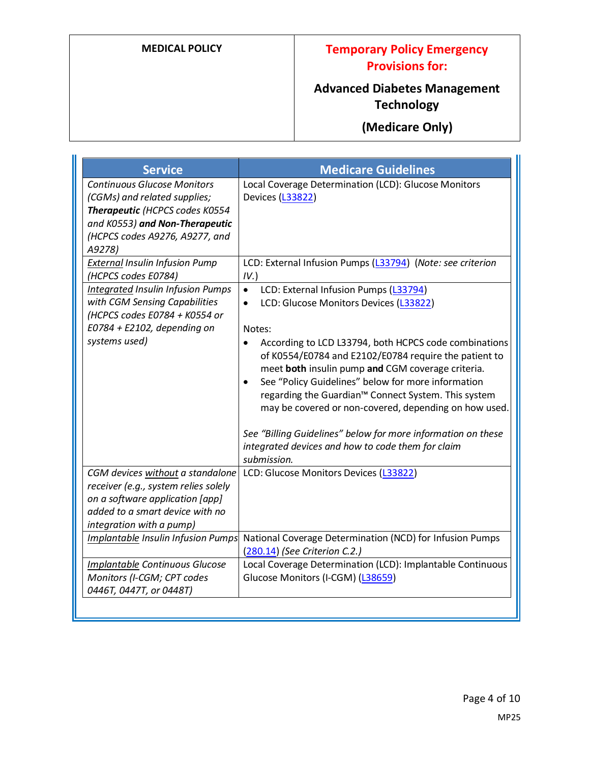### **MEDICAL POLICY Temporary Policy Emergency Provisions for:**

# **Advanced Diabetes Management Technology**

# **(Medicare Only)**

| <b>Service</b>                                                                                                                                                                     | <b>Medicare Guidelines</b>                                                                                                                                                                                                                                                                                                                                                                                                                                                                                                      |
|------------------------------------------------------------------------------------------------------------------------------------------------------------------------------------|---------------------------------------------------------------------------------------------------------------------------------------------------------------------------------------------------------------------------------------------------------------------------------------------------------------------------------------------------------------------------------------------------------------------------------------------------------------------------------------------------------------------------------|
| <b>Continuous Glucose Monitors</b><br>(CGMs) and related supplies;<br>Therapeutic (HCPCS codes K0554<br>and K0553) and Non-Therapeutic<br>(HCPCS codes A9276, A9277, and<br>A9278) | Local Coverage Determination (LCD): Glucose Monitors<br>Devices (L33822)                                                                                                                                                                                                                                                                                                                                                                                                                                                        |
| <b>External Insulin Infusion Pump</b><br>(HCPCS codes E0784)                                                                                                                       | LCD: External Infusion Pumps (L33794) (Note: see criterion<br>IV.                                                                                                                                                                                                                                                                                                                                                                                                                                                               |
| Integrated Insulin Infusion Pumps<br>with CGM Sensing Capabilities<br>(HCPCS codes E0784 + K0554 or<br>$E0784 + E2102$ , depending on<br>systems used)                             | LCD: External Infusion Pumps (L33794)<br>LCD: Glucose Monitors Devices (L33822)<br>Notes:<br>According to LCD L33794, both HCPCS code combinations<br>$\bullet$<br>of K0554/E0784 and E2102/E0784 require the patient to<br>meet both insulin pump and CGM coverage criteria.<br>See "Policy Guidelines" below for more information<br>regarding the Guardian <sup>™</sup> Connect System. This system<br>may be covered or non-covered, depending on how used.<br>See "Billing Guidelines" below for more information on these |
|                                                                                                                                                                                    | integrated devices and how to code them for claim<br>submission.                                                                                                                                                                                                                                                                                                                                                                                                                                                                |
| CGM devices without a standalone<br>receiver (e.g., system relies solely<br>on a software application [app]<br>added to a smart device with no<br>integration with a pump)         | LCD: Glucose Monitors Devices (L33822)                                                                                                                                                                                                                                                                                                                                                                                                                                                                                          |
| Implantable Insulin Infusion Pumps                                                                                                                                                 | National Coverage Determination (NCD) for Infusion Pumps<br>(280.14) (See Criterion C.2.)                                                                                                                                                                                                                                                                                                                                                                                                                                       |
| Implantable Continuous Glucose<br>Monitors (I-CGM; CPT codes<br>0446T, 0447T, or 0448T)                                                                                            | Local Coverage Determination (LCD): Implantable Continuous<br>Glucose Monitors (I-CGM) (L38659)                                                                                                                                                                                                                                                                                                                                                                                                                                 |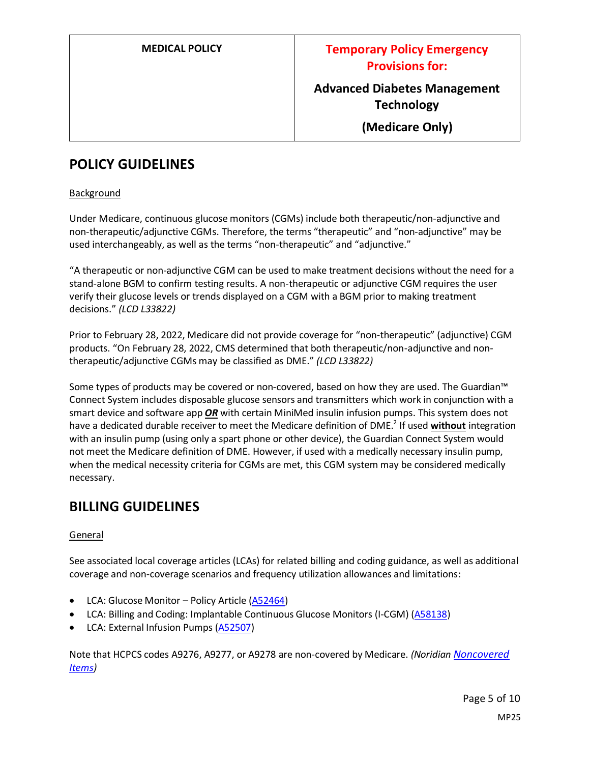**(Medicare Only)**

### **POLICY GUIDELINES**

#### **Background**

Under Medicare, continuous glucose monitors (CGMs) include both therapeutic/non-adjunctive and non-therapeutic/adjunctive CGMs. Therefore, the terms "therapeutic" and "non-adjunctive" may be used interchangeably, as well as the terms "non-therapeutic" and "adjunctive."

"A therapeutic or non-adjunctive CGM can be used to make treatment decisions without the need for a stand-alone BGM to confirm testing results. A non-therapeutic or adjunctive CGM requires the user verify their glucose levels or trends displayed on a CGM with a BGM prior to making treatment decisions." *(LCD L33822)*

Prior to February 28, 2022, Medicare did not provide coverage for "non-therapeutic" (adjunctive) CGM products. "On February 28, 2022, CMS determined that both therapeutic/non-adjunctive and nontherapeutic/adjunctive CGMs may be classified as DME." *(LCD L33822)*

Some types of products may be covered or non-covered, based on how they are used. The Guardian™ Connect System includes disposable glucose sensors and transmitters which work in conjunction with a smart device and software app *OR* with certain MiniMed insulin infusion pumps. This system does not have a dedicated durable receiver to meet the Medicare definition of DME.<sup>2</sup> If used **without** integration with an insulin pump (using only a spart phone or other device), the Guardian Connect System would not meet the Medicare definition of DME. However, if used with a medically necessary insulin pump, when the medical necessity criteria for CGMs are met, this CGM system may be considered medically necessary.

### **BILLING GUIDELINES**

#### General

See associated local coverage articles (LCAs) for related billing and coding guidance, as well as additional coverage and non-coverage scenarios and frequency utilization allowances and limitations:

- LCA: Glucose Monitor Policy Article [\(A52464\)](https://www.cms.gov/medicare-coverage-database/details/article-details.aspx?articleId=52464)
- LCA: Billing and Coding: Implantable Continuous Glucose Monitors (I-CGM) [\(A58138\)](https://www.cms.gov/medicare-coverage-database/details/article-details.aspx?articleId=58138)
- LCA: External Infusion Pumps [\(A52507\)](https://www.cms.gov/medicare-coverage-database/details/article-details.aspx?articleId=52507)

Note that HCPCS codes A9276, A9277, or A9278 are non-covered by Medicare. *(Noridian [Noncovered](https://med.noridianmedicare.com/web/jddme/topics/noncovered-items)  [Items\)](https://med.noridianmedicare.com/web/jddme/topics/noncovered-items)*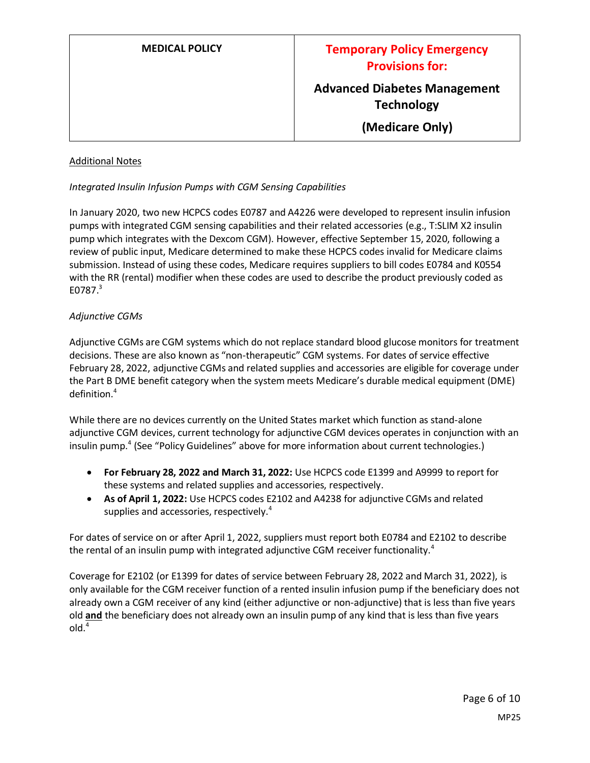**(Medicare Only)**

#### Additional Notes

#### *Integrated Insulin Infusion Pumps with CGM Sensing Capabilities*

In January 2020, two new HCPCS codes E0787 and A4226 were developed to represent insulin infusion pumps with integrated CGM sensing capabilities and their related accessories (e.g., T:SLIM X2 insulin pump which integrates with the Dexcom CGM). However, effective September 15, 2020, following a review of public input, Medicare determined to make these HCPCS codes invalid for Medicare claims submission. Instead of using these codes, Medicare requires suppliers to bill codes E0784 and K0554 with the RR (rental) modifier when these codes are used to describe the product previously coded as E0787.<sup>3</sup>

#### *Adjunctive CGMs*

Adjunctive CGMs are CGM systems which do not replace standard blood glucose monitors for treatment decisions. These are also known as "non-therapeutic" CGM systems. For dates of service effective February 28, 2022, adjunctive CGMs and related supplies and accessories are eligible for coverage under the Part B DME benefit category when the system meets Medicare's durable medical equipment (DME) definition. 4

While there are no devices currently on the United States market which function as stand-alone adjunctive CGM devices, current technology for adjunctive CGM devices operates in conjunction with an insulin pump.<sup>4</sup> (See "Policy Guidelines" above for more information about current technologies.)

- **For February 28, 2022 and March 31, 2022:** Use HCPCS code E1399 and A9999 to report for these systems and related supplies and accessories, respectively.
- **As of April 1, 2022:** Use HCPCS codes E2102 and A4238 for adjunctive CGMs and related supplies and accessories, respectively.<sup>4</sup>

For dates of service on or after April 1, 2022, suppliers must report both E0784 and E2102 to describe the rental of an insulin pump with integrated adjunctive CGM receiver functionality.<sup>4</sup>

Coverage for E2102 (or E1399 for dates of service between February 28, 2022 and March 31, 2022), is only available for the CGM receiver function of a rented insulin infusion pump if the beneficiary does not already own a CGM receiver of any kind (either adjunctive or non-adjunctive) that is less than five years old **and** the beneficiary does not already own an insulin pump of any kind that is less than five years old.<sup>4</sup>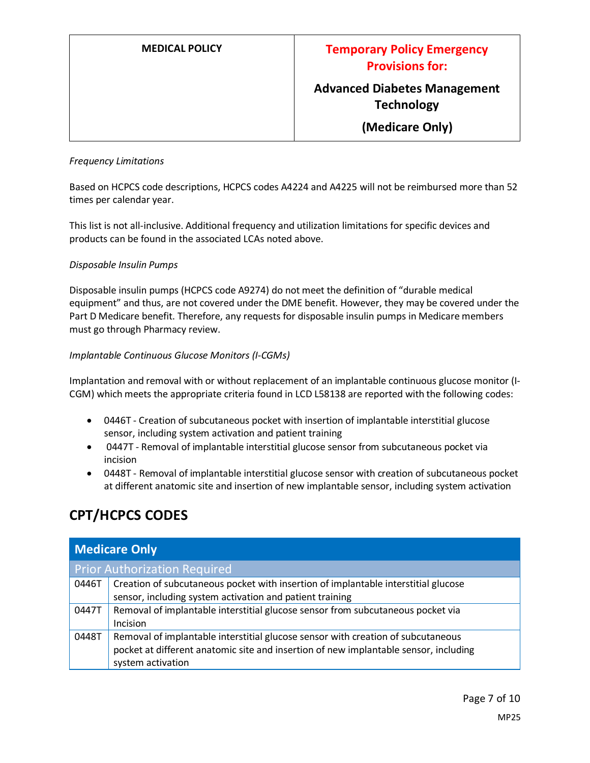**(Medicare Only)**

#### *Frequency Limitations*

Based on HCPCS code descriptions, HCPCS codes A4224 and A4225 will not be reimbursed more than 52 times per calendar year.

This list is not all-inclusive. Additional frequency and utilization limitations for specific devices and products can be found in the associated LCAs noted above.

#### *Disposable Insulin Pumps*

Disposable insulin pumps (HCPCS code A9274) do not meet the definition of "durable medical equipment" and thus, are not covered under the DME benefit. However, they may be covered under the Part D Medicare benefit. Therefore, any requests for disposable insulin pumps in Medicare members must go through Pharmacy review.

#### *Implantable Continuous Glucose Monitors (I-CGMs)*

Implantation and removal with or without replacement of an implantable continuous glucose monitor (I-CGM) which meets the appropriate criteria found in LCD L58138 are reported with the following codes:

- 0446T Creation of subcutaneous pocket with insertion of implantable interstitial glucose sensor, including system activation and patient training
- 0447T Removal of implantable interstitial glucose sensor from subcutaneous pocket via incision
- 0448T Removal of implantable interstitial glucose sensor with creation of subcutaneous pocket at different anatomic site and insertion of new implantable sensor, including system activation

### **CPT/HCPCS CODES**

| <b>Medicare Only</b> |                                                                                      |  |
|----------------------|--------------------------------------------------------------------------------------|--|
|                      | <b>Prior Authorization Required</b>                                                  |  |
| 0446T                | Creation of subcutaneous pocket with insertion of implantable interstitial glucose   |  |
|                      | sensor, including system activation and patient training                             |  |
| 0447T                | Removal of implantable interstitial glucose sensor from subcutaneous pocket via      |  |
|                      | Incision                                                                             |  |
| 0448T                | Removal of implantable interstitial glucose sensor with creation of subcutaneous     |  |
|                      | pocket at different anatomic site and insertion of new implantable sensor, including |  |
|                      | system activation                                                                    |  |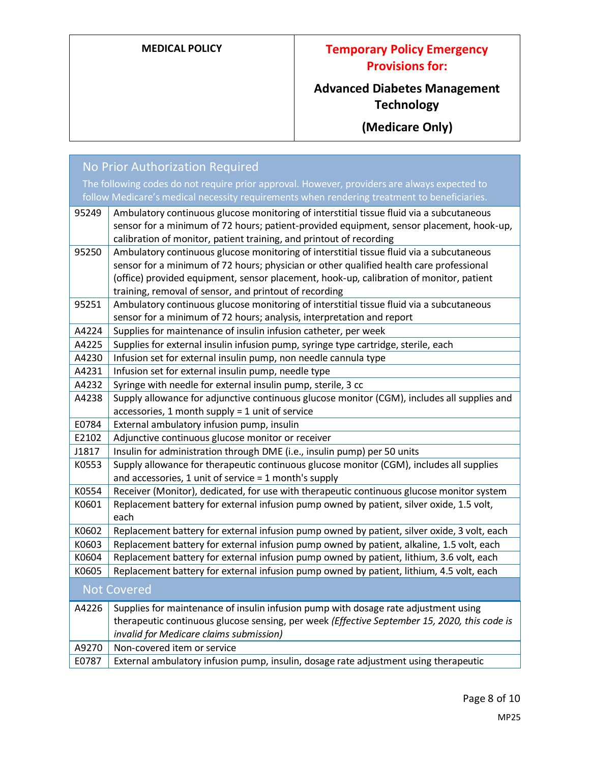## **MEDICAL POLICY Temporary Policy Emergency Provisions for:**

# **Advanced Diabetes Management Technology**

**(Medicare Only)**

| <b>No Prior Authorization Required</b> |                                                                                                                                         |
|----------------------------------------|-----------------------------------------------------------------------------------------------------------------------------------------|
|                                        | The following codes do not require prior approval. However, providers are always expected to                                            |
|                                        | follow Medicare's medical necessity requirements when rendering treatment to beneficiaries.                                             |
| 95249                                  | Ambulatory continuous glucose monitoring of interstitial tissue fluid via a subcutaneous                                                |
|                                        | sensor for a minimum of 72 hours; patient-provided equipment, sensor placement, hook-up,                                                |
|                                        | calibration of monitor, patient training, and printout of recording                                                                     |
| 95250                                  | Ambulatory continuous glucose monitoring of interstitial tissue fluid via a subcutaneous                                                |
|                                        | sensor for a minimum of 72 hours; physician or other qualified health care professional                                                 |
|                                        | (office) provided equipment, sensor placement, hook-up, calibration of monitor, patient                                                 |
|                                        | training, removal of sensor, and printout of recording                                                                                  |
| 95251                                  | Ambulatory continuous glucose monitoring of interstitial tissue fluid via a subcutaneous                                                |
|                                        | sensor for a minimum of 72 hours; analysis, interpretation and report                                                                   |
| A4224                                  | Supplies for maintenance of insulin infusion catheter, per week                                                                         |
| A4225                                  | Supplies for external insulin infusion pump, syringe type cartridge, sterile, each                                                      |
| A4230                                  | Infusion set for external insulin pump, non needle cannula type                                                                         |
| A4231                                  | Infusion set for external insulin pump, needle type                                                                                     |
| A4232                                  | Syringe with needle for external insulin pump, sterile, 3 cc                                                                            |
| A4238                                  | Supply allowance for adjunctive continuous glucose monitor (CGM), includes all supplies and                                             |
| E0784                                  | accessories, 1 month supply = 1 unit of service<br>External ambulatory infusion pump, insulin                                           |
| E2102                                  | Adjunctive continuous glucose monitor or receiver                                                                                       |
| J1817                                  | Insulin for administration through DME (i.e., insulin pump) per 50 units                                                                |
| K0553                                  | Supply allowance for therapeutic continuous glucose monitor (CGM), includes all supplies                                                |
|                                        | and accessories, 1 unit of service $=$ 1 month's supply                                                                                 |
| K0554                                  | Receiver (Monitor), dedicated, for use with therapeutic continuous glucose monitor system                                               |
| K0601                                  | Replacement battery for external infusion pump owned by patient, silver oxide, 1.5 volt,                                                |
|                                        | each                                                                                                                                    |
| K0602                                  | Replacement battery for external infusion pump owned by patient, silver oxide, 3 volt, each                                             |
| K0603                                  | Replacement battery for external infusion pump owned by patient, alkaline, 1.5 volt, each                                               |
| K0604                                  | Replacement battery for external infusion pump owned by patient, lithium, 3.6 volt, each                                                |
| K0605                                  | Replacement battery for external infusion pump owned by patient, lithium, 4.5 volt, each                                                |
|                                        | <b>Not Covered</b>                                                                                                                      |
|                                        |                                                                                                                                         |
| A4226                                  | Supplies for maintenance of insulin infusion pump with dosage rate adjustment using                                                     |
|                                        | therapeutic continuous glucose sensing, per week (Effective September 15, 2020, this code is<br>invalid for Medicare claims submission) |
| A9270                                  | Non-covered item or service                                                                                                             |
| E0787                                  | External ambulatory infusion pump, insulin, dosage rate adjustment using therapeutic                                                    |
|                                        |                                                                                                                                         |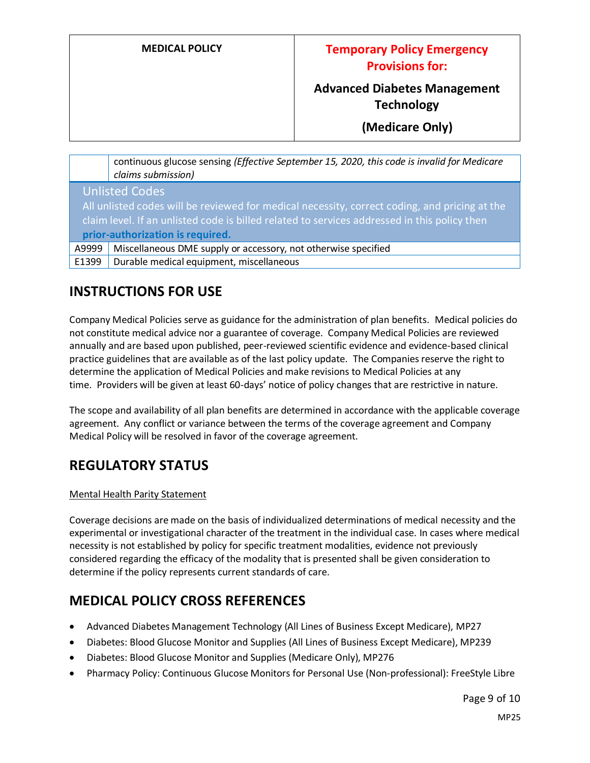### **MEDICAL POLICY Temporary Policy Emergency Provisions for:**

## **Advanced Diabetes Management Technology**

**(Medicare Only)**

continuous glucose sensing *(Effective September 15, 2020, this code is invalid for Medicare claims submission)* Unlisted Codes All unlisted codes will be reviewed for medical necessity, correct coding, and pricing at the claim level. If an unlisted code is billed related to services addressed in this policy then **prior-authorization is required.** A9999 | Miscellaneous DME supply or accessory, not otherwise specified

 $E1399$  Durable medical equipment, miscellaneous

## **INSTRUCTIONS FOR USE**

Company Medical Policies serve as guidance for the administration of plan benefits. Medical policies do not constitute medical advice nor a guarantee of coverage. Company Medical Policies are reviewed annually and are based upon published, peer-reviewed scientific evidence and evidence-based clinical practice guidelines that are available as of the last policy update. The Companies reserve the right to determine the application of Medical Policies and make revisions to Medical Policies at any time. Providers will be given at least 60-days' notice of policy changes that are restrictive in nature.

The scope and availability of all plan benefits are determined in accordance with the applicable coverage agreement. Any conflict or variance between the terms of the coverage agreement and Company Medical Policy will be resolved in favor of the coverage agreement.

### **REGULATORY STATUS**

#### Mental Health Parity Statement

Coverage decisions are made on the basis of individualized determinations of medical necessity and the experimental or investigational character of the treatment in the individual case. In cases where medical necessity is not established by policy for specific treatment modalities, evidence not previously considered regarding the efficacy of the modality that is presented shall be given consideration to determine if the policy represents current standards of care.

## **MEDICAL POLICY CROSS REFERENCES**

- Advanced Diabetes Management Technology (All Lines of Business Except Medicare), MP27
- Diabetes: Blood Glucose Monitor and Supplies (All Lines of Business Except Medicare), MP239
- Diabetes: Blood Glucose Monitor and Supplies (Medicare Only), MP276
- Pharmacy Policy: Continuous Glucose Monitors for Personal Use (Non-professional): FreeStyle Libre

Page 9 of 10